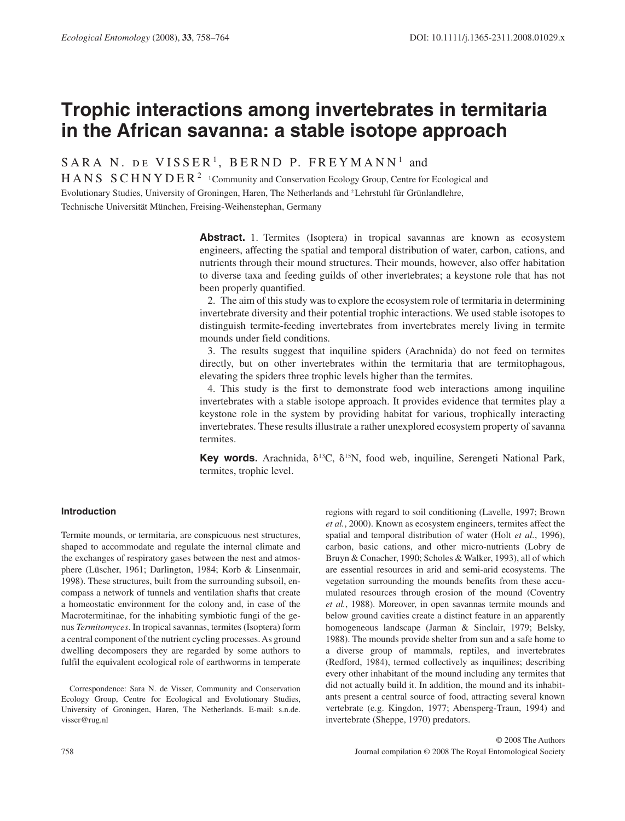# **Trophic interactions among invertebrates in termitaria in the African savanna: a stable isotope approach**

SARA N. DE VISSER<sup>1</sup>, BERND P. FREYMANN<sup>1</sup> and

HANS SCHNYDER<sup>2</sup> <sup>1</sup> Community and Conservation Ecology Group, Centre for Ecological and Evolutionary Studies, University of Groningen, Haren, The Netherlands and 2 Lehrstuhl für Grünlandlehre, Technische Universität München, Freising-Weihenstephan, Germany

> **Abstract.** 1. Termites (Isoptera) in tropical savannas are known as ecosystem engineers, affecting the spatial and temporal distribution of water, carbon, cations, and nutrients through their mound structures. Their mounds, however, also offer habitation to diverse taxa and feeding guilds of other invertebrates; a keystone role that has not been properly quantified.

> 2. The aim of this study was to explore the ecosystem role of termitaria in determining invertebrate diversity and their potential trophic interactions. We used stable isotopes to distinguish termite-feeding invertebrates from invertebrates merely living in termite mounds under field conditions.

> 3. The results suggest that inquiline spiders (Arachnida) do not feed on termites directly, but on other invertebrates within the termitaria that are termitophagous, elevating the spiders three trophic levels higher than the termites.

> 4. This study is the first to demonstrate food web interactions among inquiline invertebrates with a stable isotope approach. It provides evidence that termites play a keystone role in the system by providing habitat for various, trophically interacting invertebrates. These results illustrate a rather unexplored ecosystem property of savanna termites.

> **Key words.** Arachnida,  $\delta^{13}C$ ,  $\delta^{15}N$ , food web, inquiline, Serengeti National Park, termites, trophic level.

# **Introduction**

 Termite mounds, or termitaria, are conspicuous nest structures, shaped to accommodate and regulate the internal climate and the exchanges of respiratory gases between the nest and atmosphere (Lüscher, 1961; Darlington, 1984; Korb & Linsenmair, 1998). These structures, built from the surrounding subsoil, encompass a network of tunnels and ventilation shafts that create a homeostatic environment for the colony and, in case of the Macrotermitinae, for the inhabiting symbiotic fungi of the genus *Termitomyces* . In tropical savannas, termites (Isoptera) form a central component of the nutrient cycling processes. As ground dwelling decomposers they are regarded by some authors to fulfil the equivalent ecological role of earthworms in temperate

 Correspondence: Sara N. de Visser, Community and Conservation Ecology Group, Centre for Ecological and Evolutionary Studies, University of Groningen, Haren, The Netherlands. E-mail: s.n.de. visser@rug.nl

spatial and temporal distribution of water (Holt *et al.*, 1996), carbon, basic cations, and other micro-nutrients (Lobry de Bruyn & Conacher, 1990; Scholes & Walker, 1993), all of which are essential resources in arid and semi-arid ecosystems. The vegetation surrounding the mounds benefits from these accumulated resources through erosion of the mound (Coventry et al., 1988). Moreover, in open savannas termite mounds and below ground cavities create a distinct feature in an apparently homogeneous landscape (Jarman & Sinclair, 1979; Belsky, 1988 ). The mounds provide shelter from sun and a safe home to a diverse group of mammals, reptiles, and invertebrates (Redford, 1984), termed collectively as inquilines; describing every other inhabitant of the mound including any termites that did not actually build it. In addition, the mound and its inhabitants present a central source of food, attracting several known vertebrate (e.g. Kingdon, 1977; Abensperg-Traun, 1994) and invertebrate (Sheppe, 1970) predators.

regions with regard to soil conditioning (Lavelle, 1997; Brown et al., 2000). Known as ecosystem engineers, termites affect the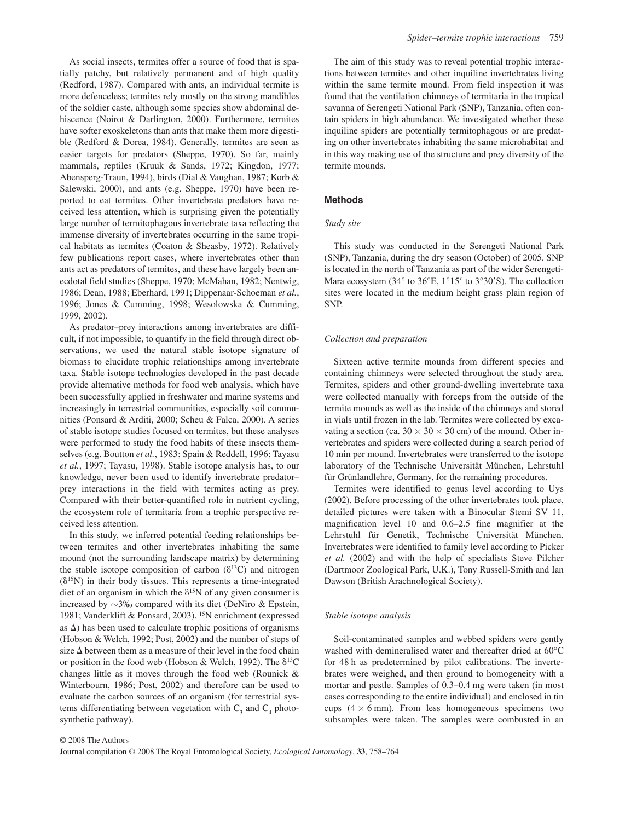As social insects, termites offer a source of food that is spatially patchy, but relatively permanent and of high quality (Redford, 1987). Compared with ants, an individual termite is more defenceless; termites rely mostly on the strong mandibles of the soldier caste, although some species show abdominal dehiscence (Noirot & Darlington, 2000). Furthermore, termites have softer exoskeletons than ants that make them more digestible (Redford & Dorea, 1984). Generally, termites are seen as easier targets for predators (Sheppe, 1970). So far, mainly mammals, reptiles (Kruuk & Sands, 1972; Kingdon, 1977; Abensperg-Traun, 1994), birds (Dial & Vaughan, 1987; Korb & Salewski, 2000), and ants (e.g. Sheppe, 1970) have been reported to eat termites. Other invertebrate predators have received less attention, which is surprising given the potentially large number of termitophagous invertebrate taxa reflecting the immense diversity of invertebrates occurring in the same tropical habitats as termites (Coaton & Sheasby, 1972). Relatively few publications report cases, where invertebrates other than ants act as predators of termites, and these have largely been anecdotal field studies (Sheppe, 1970; McMahan, 1982; Nentwig, 1986; Dean, 1988; Eberhard, 1991; Dippenaar-Schoeman *et al.* , 1996; Jones & Cumming, 1998; Wesolowska & Cumming, 1999, 2002 ).

As predator-prey interactions among invertebrates are difficult, if not impossible, to quantify in the field through direct observations, we used the natural stable isotope signature of biomass to elucidate trophic relationships among invertebrate taxa. Stable isotope technologies developed in the past decade provide alternative methods for food web analysis, which have been successfully applied in freshwater and marine systems and increasingly in terrestrial communities, especially soil communities (Ponsard & Arditi, 2000; Scheu & Falca, 2000). A series of stable isotope studies focused on termites, but these analyses were performed to study the food habits of these insects themselves (e.g. Boutton *et al.* , 1983; Spain & Reddell, 1996; Tayasu et al., 1997; Tayasu, 1998). Stable isotope analysis has, to our knowledge, never been used to identify invertebrate predator prey interactions in the field with termites acting as prey. Compared with their better-quantified role in nutrient cycling, the ecosystem role of termitaria from a trophic perspective received less attention.

 In this study, we inferred potential feeding relationships between termites and other invertebrates inhabiting the same mound (not the surrounding landscape matrix) by determining the stable isotope composition of carbon ( $\delta^{13}$ C) and nitrogen  $(\delta^{15}N)$  in their body tissues. This represents a time-integrated diet of an organism in which the  $\delta^{15}N$  of any given consumer is increased by ∼ 3 ‰ compared with its diet ( DeNiro & Epstein, 1981; Vanderklift & Ponsard, 2003 ). 15 N enrichment (expressed as  $\Delta$ ) has been used to calculate trophic positions of organisms ( Hobson & Welch, 1992; Post, 2002 ) and the number of steps of size  $\Delta$  between them as a measure of their level in the food chain or position in the food web (Hobson & Welch, 1992). The  $\delta^{13}C$ changes little as it moves through the food web (Rounick  $\&$ Winterbourn, 1986; Post, 2002) and therefore can be used to evaluate the carbon sources of an organism (for terrestrial systems differentiating between vegetation with  $C_3$  and  $C_4$  photosynthetic pathway).

 The aim of this study was to reveal potential trophic interactions between termites and other inquiline invertebrates living within the same termite mound. From field inspection it was found that the ventilation chimneys of termitaria in the tropical savanna of Serengeti National Park (SNP), Tanzania, often contain spiders in high abundance. We investigated whether these inquiline spiders are potentially termitophagous or are predating on other invertebrates inhabiting the same microhabitat and in this way making use of the structure and prey diversity of the termite mounds.

# **Methods**

## *Study site*

 This study was conducted in the Serengeti National Park (SNP), Tanzania, during the dry season (October) of 2005. SNP is located in the north of Tanzania as part of the wider Serengeti-Mara ecosystem (34 $\degree$  to 36 $\degree$ E, 1 $\degree$ 15' to 3 $\degree$ 30'S). The collection sites were located in the medium height grass plain region of SNP.

#### *Collection and preparation*

 Sixteen active termite mounds from different species and containing chimneys were selected throughout the study area. Termites, spiders and other ground-dwelling invertebrate taxa were collected manually with forceps from the outside of the termite mounds as well as the inside of the chimneys and stored in vials until frozen in the lab. Termites were collected by excavating a section (ca.  $30 \times 30 \times 30$  cm) of the mound. Other invertebrates and spiders were collected during a search period of 10 min per mound. Invertebrates were transferred to the isotope laboratory of the Technische Universität München, Lehrstuhl für Grünlandlehre, Germany, for the remaining procedures.

 Termites were identified to genus level according to Uys (2002) . Before processing of the other invertebrates took place, detailed pictures were taken with a Binocular Stemi SV 11, magnification level 10 and 0.6-2.5 fine magnifier at the Lehrstuhl für Genetik, Technische Universität München. Invertebrates were identified to family level according to Picker *et al.* (2002) and with the help of specialists Steve Pilcher (Dartmoor Zoological Park, U.K.), Tony Russell-Smith and Ian Dawson (British Arachnological Society).

## *Stable isotope analysis*

 Soil-contaminated samples and webbed spiders were gently washed with demineralised water and thereafter dried at 60°C for 48 h as predetermined by pilot calibrations. The invertebrates were weighed, and then ground to homogeneity with a mortar and pestle. Samples of 0.3–0.4 mg were taken (in most cases corresponding to the entire individual) and enclosed in tin cups  $(4 \times 6 \text{ mm})$ . From less homogeneous specimens two subsamples were taken. The samples were combusted in an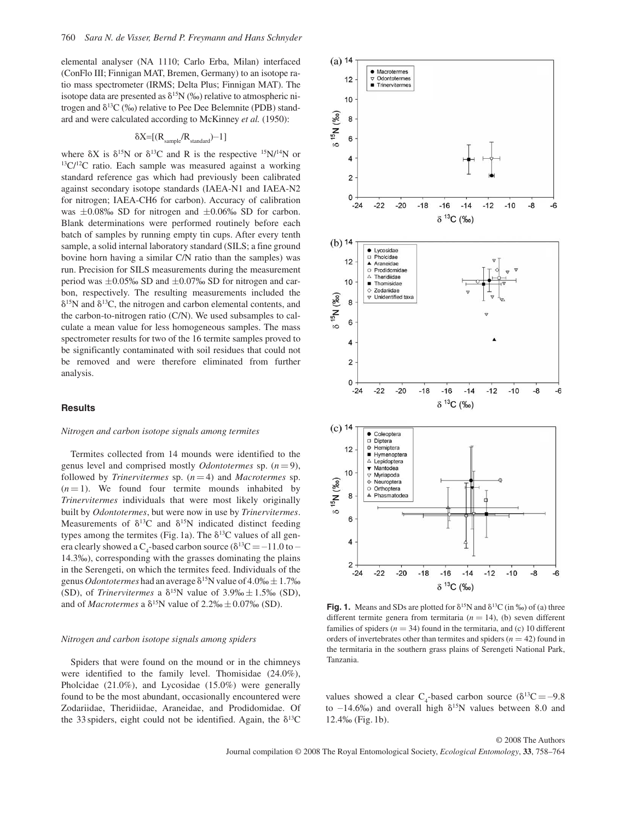elemental analyser (NA 1110; Carlo Erba, Milan) interfaced (ConFlo III; Finnigan MAT, Bremen, Germany) to an isotope ratio mass spectrometer (IRMS; Delta Plus; Finnigan MAT). The isotope data are presented as  $\delta^{15}N$  (‰) relative to atmospheric nitrogen and  $\delta^{13}C$  (‰) relative to Pee Dee Belemnite (PDB) standard and were calculated according to McKinney *et al.* (1950) :

$$
\delta X = [(R_{\text{sample}}/R_{\text{standard}}) - 1]
$$

where  $\delta X$  is  $\delta^{15}N$  or  $\delta^{13}C$  and R is the respective  $^{15}N^{14}N$  or  $^{13}C^{12}C$  ratio. Each sample was measured against a working standard reference gas which had previously been calibrated against secondary isotope standards (IAEA-N1 and IAEA-N2 for nitrogen; IAEA-CH6 for carbon). Accuracy of calibration was  $\pm 0.08\%$  SD for nitrogen and  $\pm 0.06\%$  SD for carbon. Blank determinations were performed routinely before each batch of samples by running empty tin cups. After every tenth sample, a solid internal laboratory standard (SILS; a fine ground bovine horn having a similar C/N ratio than the samples) was run. Precision for SILS measurements during the measurement period was  $\pm 0.05\%$  SD and  $\pm 0.07\%$  SD for nitrogen and carbon, respectively. The resulting measurements included the  $\delta^{15}$ N and  $\delta^{13}$ C, the nitrogen and carbon elemental contents, and the carbon-to-nitrogen ratio (C/N). We used subsamples to calculate a mean value for less homogeneous samples. The mass spectrometer results for two of the 16 termite samples proved to be significantly contaminated with soil residues that could not be removed and were therefore eliminated from further analysis.

# **Results**

#### *Nitrogen and carbon isotope signals among termites*

 Termites collected from 14 mounds were identified to the genus level and comprised mostly *Odontotermes* sp.  $(n=9)$ , followed by *Trinervitermes* sp.  $(n=4)$  and *Macrotermes* sp.  $(n = 1)$ . We found four termite mounds inhabited by *Trinervitermes* individuals that were most likely originally built by *Odontotermes* , but were now in use by *Trinervitermes* . Measurements of  $\delta^{13}C$  and  $\delta^{15}N$  indicated distinct feeding types among the termites (Fig. 1a). The  $\delta^{13}$ C values of all genera clearly showed a  $C_4$ -based carbon source ( $\delta^{13}C = -11.0$  to – 14.3 ‰ ), corresponding with the grasses dominating the plains in the Serengeti, on which the termites feed. Individuals of the genus *Odontotermes* had an average  $\delta^{15}$ N value of 4.0‰  $\pm$  1.7‰ (SD), of *Trinervitermes* a  $\delta^{15}N$  value of 3.9%  $\pm$  1.5% (SD), and of *Macrotermes* a  $\delta^{15}N$  value of 2.2‰  $\pm$  0.07‰ (SD).

#### *Nitrogen and carbon isotope signals among spiders*

 Spiders that were found on the mound or in the chimneys were identified to the family level. Thomisidae (24.0%), Pholcidae (21.0%), and Lycosidae (15.0%) were generally found to be the most abundant, occasionally encountered were Zodariidae, Theridiidae, Araneidae, and Prodidomidae. Of the 33 spiders, eight could not be identified. Again, the  $\delta^{13}$ C



**Fig. 1.** Means and SDs are plotted for  $\delta^{15}N$  and  $\delta^{13}C$  (in ‰) of (a) three different termite genera from termitaria  $(n = 14)$ , (b) seven different families of spiders  $(n = 34)$  found in the termitaria, and (c) 10 different orders of invertebrates other than termites and spiders  $(n = 42)$  found in the termitaria in the southern grass plains of Serengeti National Park, Tanzania.

values showed a clear  $C_4$ -based carbon source ( $\delta^{13}C = -9.8$ ) to  $-14.6\%$  and overall high  $\delta^{15}$ N values between 8.0 and  $12.4\%$  (Fig. 1b).

© 2008 The Authors Journal compilation © 2008 The Royal Entomological Society, *Ecological Entomology*, **33**, 758–764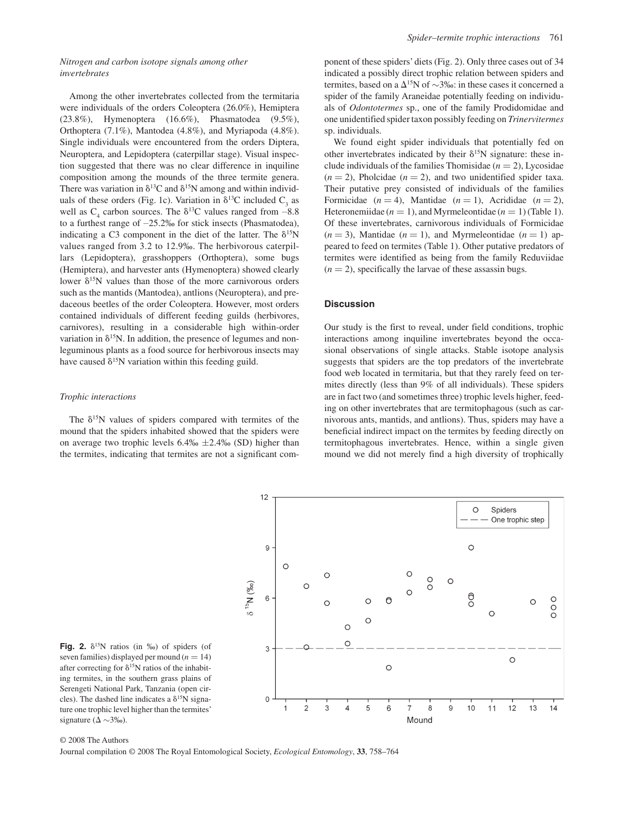# *Nitrogen and carbon isotope signals among other invertebrates*

 Among the other invertebrates collected from the termitaria were individuals of the orders Coleoptera (26.0%), Hemiptera (23.8%), Hymenoptera (16.6%), Phasmatodea (9.5%), Orthoptera (7.1%), Mantodea (4.8%), and Myriapoda (4.8%). Single individuals were encountered from the orders Diptera, Neuroptera, and Lepidoptera (caterpillar stage). Visual inspection suggested that there was no clear difference in inquiline composition among the mounds of the three termite genera. There was variation in  $\delta^{13}$ C and  $\delta^{15}$ N among and within individuals of these orders (Fig. 1c). Variation in  $\delta^{13}$ C included C<sub>3</sub> as well as  $C_4$  carbon sources. The  $\delta^{13}C$  values ranged from  $-8.8$ to a furthest range of  $-25.2\%$  for stick insects (Phasmatodea), indicating a C3 component in the diet of the latter. The  $\delta^{15}N$ values ranged from 3.2 to 12.9‰. The herbivorous caterpillars (Lepidoptera), grasshoppers (Orthoptera), some bugs (Hemiptera), and harvester ants (Hymenoptera) showed clearly lower  $\delta^{15}$ N values than those of the more carnivorous orders such as the mantids (Mantodea), antlions (Neuroptera), and predaceous beetles of the order Coleoptera. However, most orders contained individuals of different feeding guilds (herbivores, carnivores), resulting in a considerable high within-order variation in  $\delta^{15}$ N. In addition, the presence of legumes and non leguminous plants as a food source for herbivorous insects may have caused  $\delta^{15}$ N variation within this feeding guild.

## *Trophic interactions*

The  $\delta^{15}$ N values of spiders compared with termites of the mound that the spiders inhabited showed that the spiders were on average two trophic levels  $6.4\% \pm 2.4\%$  (SD) higher than the termites, indicating that termites are not a significant component of these spiders' diets (Fig. 2). Only three cases out of 34 indicated a possibly direct trophic relation between spiders and termites, based on a  $\Delta^{15}N$  of ~3‰: in these cases it concerned a spider of the family Araneidae potentially feeding on individuals of *Odontotermes* sp., one of the family Prodidomidae and one unidentified spider taxon possibly feeding on *Trinervitermes*  sp. individuals.

 We found eight spider individuals that potentially fed on other invertebrates indicated by their  $\delta^{15}N$  signature: these include individuals of the families Thomisidae  $(n = 2)$ , Lycosidae  $(n = 2)$ , Pholcidae  $(n = 2)$ , and two unidentified spider taxa. Their putative prey consisted of individuals of the families Formicidae  $(n = 4)$ , Mantidae  $(n = 1)$ , Acrididae  $(n = 2)$ , Heteronemiidae ( $n = 1$ ), and Myrmeleontidae ( $n = 1$ ) (Table 1). Of these invertebrates, carnivorous individuals of Formicidae  $(n = 3)$ , Mantidae  $(n = 1)$ , and Myrmeleontidae  $(n = 1)$  appeared to feed on termites (Table 1). Other putative predators of termites were identified as being from the family Reduviidae  $(n = 2)$ , specifically the larvae of these assassin bugs.

## **Discussion**

 Our study is the first to reveal, under field conditions, trophic interactions among inquiline invertebrates beyond the occasional observations of single attacks. Stable isotope analysis suggests that spiders are the top predators of the invertebrate food web located in termitaria, but that they rarely feed on termites directly (less than 9% of all individuals). These spiders are in fact two (and sometimes three) trophic levels higher, feeding on other invertebrates that are termitophagous (such as carnivorous ants, mantids, and antlions). Thus, spiders may have a beneficial indirect impact on the termites by feeding directly on termitophagous invertebrates. Hence, within a single given mound we did not merely find a high diversity of trophically



**Fig. 2.**  $\delta^{15}N$  ratios (in ‰) of spiders (of seven families) displayed per mound  $(n = 14)$ after correcting for  $\delta^{15}N$  ratios of the inhabiting termites, in the southern grass plains of Serengeti National Park, Tanzania (open circles). The dashed line indicates a  $\delta^{15}N$  signature one trophic level higher than the termites' signature ( $\Delta \sim 3\%$ ).

#### © 2008 The Authors

Journal compilation © 2008 The Royal Entomological Society, *Ecological Entomology*, **33**, 758–764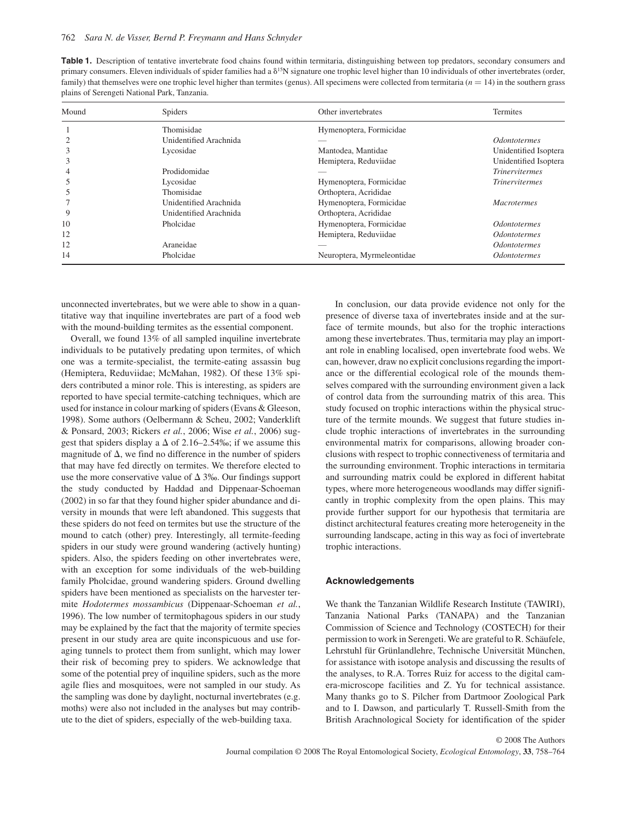| <b>Table 1.</b> Description of tentative invertebrate food chains found within termitaria, distinguishing between top predators, secondary consumers and            |
|---------------------------------------------------------------------------------------------------------------------------------------------------------------------|
| primary consumers. Eleven individuals of spider families had a $\delta^{15}N$ signature one trophic level higher than 10 individuals of other invertebrates (order, |
| family) that themselves were one trophic level higher than termites (genus). All specimens were collected from termitaria $(n = 14)$ in the southern grass          |
| plains of Serengeti National Park, Tanzania.                                                                                                                        |

| Mound | <b>Spiders</b>         | Other invertebrates        | Termites                          |
|-------|------------------------|----------------------------|-----------------------------------|
|       | Thomisidae             | Hymenoptera, Formicidae    |                                   |
|       | Unidentified Arachnida |                            | <i><u><b>Odontotermes</b></u></i> |
|       | Lycosidae              | Mantodea, Mantidae         | Unidentified Isoptera             |
|       |                        | Hemiptera, Reduviidae      | Unidentified Isoptera             |
|       | Prodidomidae           |                            | <b>Trinervitermes</b>             |
|       | Lycosidae              | Hymenoptera, Formicidae    | <i>Trinervitermes</i>             |
|       | Thomisidae             | Orthoptera, Acrididae      |                                   |
|       | Unidentified Arachnida | Hymenoptera, Formicidae    | <b>Macrotermes</b>                |
| 9     | Unidentified Arachnida | Orthoptera, Acrididae      |                                   |
| 10    | Pholcidae              | Hymenoptera, Formicidae    | <i><u><b>Odontotermes</b></u></i> |
| 12    |                        | Hemiptera, Reduviidae      | <i><u><b>Odontotermes</b></u></i> |
| 12    | Araneidae              |                            | <i><u><b>Odontotermes</b></u></i> |
| 14    | Pholcidae              | Neuroptera, Myrmeleontidae | <i>Odontotermes</i>               |

unconnected invertebrates, but we were able to show in a quantitative way that inquiline invertebrates are part of a food web with the mound-building termites as the essential component.

 Overall, we found 13% of all sampled inquiline invertebrate individuals to be putatively predating upon termites, of which one was a termite-specialist, the termite-eating assassin bug (Hemiptera, Reduviidae; McMahan, 1982). Of these 13% spiders contributed a minor role. This is interesting, as spiders are reported to have special termite-catching techniques, which are used for instance in colour marking of spiders (Evans & Gleeson, 1998). Some authors (Oelbermann & Scheu, 2002; Vanderklift & Ponsard, 2003; Rickers *et al.* , 2006; Wise *et al.* , 2006 ) suggest that spiders display a  $\Delta$  of 2.16–2.54‰; if we assume this magnitude of  $\Delta$ , we find no difference in the number of spiders that may have fed directly on termites. We therefore elected to use the more conservative value of  $\Delta$  3‰. Our findings support the study conducted by Haddad and Dippenaar-Schoeman (2002) in so far that they found higher spider abundance and diversity in mounds that were left abandoned. This suggests that these spiders do not feed on termites but use the structure of the mound to catch (other) prey. Interestingly, all termite-feeding spiders in our study were ground wandering (actively hunting) spiders. Also, the spiders feeding on other invertebrates were, with an exception for some individuals of the web-building family Pholcidae, ground wandering spiders. Ground dwelling spiders have been mentioned as specialists on the harvester termite *Hodotermes mossambicus* (Dippenaar-Schoeman et al., 1996). The low number of termitophagous spiders in our study may be explained by the fact that the majority of termite species present in our study area are quite inconspicuous and use foraging tunnels to protect them from sunlight, which may lower their risk of becoming prey to spiders. We acknowledge that some of the potential prey of inquiline spiders, such as the more agile flies and mosquitoes, were not sampled in our study. As the sampling was done by daylight, nocturnal invertebrates (e.g. moths) were also not included in the analyses but may contribute to the diet of spiders, especially of the web-building taxa.

 In conclusion, our data provide evidence not only for the presence of diverse taxa of invertebrates inside and at the surface of termite mounds, but also for the trophic interactions among these invertebrates. Thus, termitaria may play an important role in enabling localised, open invertebrate food webs. We can, however, draw no explicit conclusions regarding the importance or the differential ecological role of the mounds themselves compared with the surrounding environment given a lack of control data from the surrounding matrix of this area. This study focused on trophic interactions within the physical structure of the termite mounds. We suggest that future studies include trophic interactions of invertebrates in the surrounding environmental matrix for comparisons, allowing broader conclusions with respect to trophic connectiveness of termitaria and the surrounding environment. Trophic interactions in termitaria and surrounding matrix could be explored in different habitat types, where more heterogeneous woodlands may differ significantly in trophic complexity from the open plains. This may provide further support for our hypothesis that termitaria are distinct architectural features creating more heterogeneity in the surrounding landscape, acting in this way as foci of invertebrate trophic interactions.

# **Acknowledgements**

 We thank the Tanzanian Wildlife Research Institute (TAWIRI), Tanzania National Parks (TANAPA) and the Tanzanian Commission of Science and Technology (COSTECH) for their permission to work in Serengeti. We are grateful to R. Schäufele, Lehrstuhl für Grünlandlehre, Technische Universität München, for assistance with isotope analysis and discussing the results of the analyses, to R.A. Torres Ruiz for access to the digital camera-microscope facilities and Z. Yu for technical assistance. Many thanks go to S. Pilcher from Dartmoor Zoological Park and to I. Dawson, and particularly T. Russell-Smith from the British Arachnological Society for identification of the spider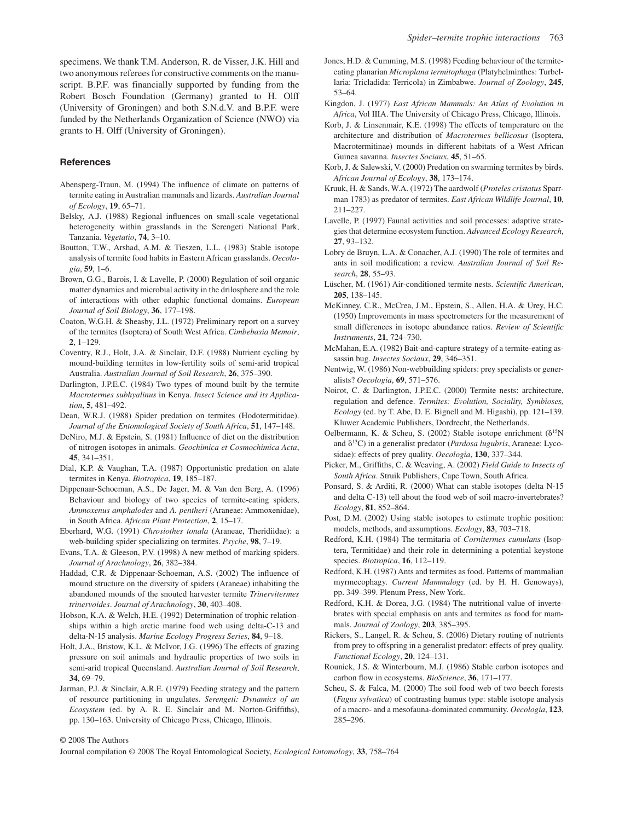specimens. We thank T.M. Anderson, R. de Visser, J.K. Hill and two anonymous referees for constructive comments on the manu script. B.P.F. was financially supported by funding from the Robert Bosch Foundation (Germany) granted to H. Olff (University of Groningen) and both S.N.d.V. and B.P.F. were funded by the Netherlands Organization of Science (NWO) via grants to H. Olff (University of Groningen).

# **References**

- Abensperg-Traun, M. (1994) The influence of climate on patterns of termite eating in Australian mammals and lizards . *Australian Journal of Ecology* , **19** , 65 – 71 .
- Belsky, A.J. (1988) Regional influences on small-scale vegetational heterogeneity within grasslands in the Serengeti National Park, Tanzania. *Vegetatio*, **74**, 3-10.
- Boutton, T.W., Arshad, A.M. & Tieszen, L.L. (1983) Stable isotope analysis of termite food habits in Eastern African grasslands. *Oecologia* , **59** , 1 – 6 .
- Brown, G.G., Barois, I. & Lavelle, P. (2000) Regulation of soil organic matter dynamics and microbial activity in the drilosphere and the role of interactions with other edaphic functional domains . *European Journal of Soil Biology* , **36** , 177 – 198 .
- Coaton, W.G.H. & Sheasby, J.L. (1972) Preliminary report on a survey of the termites (Isoptera) of South West Africa . *Cimbebasia Memoir* ,  $2, 1 - 129.$
- Coventry, R.J., Holt, J.A. & Sinclair, D.F. (1988) Nutrient cycling by mound-building termites in low-fertility soils of semi-arid tropical Australia. *Australian Journal of Soil Research*, 26, 375-390.
- Darlington, J.P.E.C. (1984) Two types of mound built by the termite *Macrotermes subhyalinus* in Kenya . *Insect Science and its Application*, 5, 481-492.
- Dean, W.R.J. (1988) Spider predation on termites (Hodotermitidae). *Journal of the Entomological Society of South Africa*, **51**, 147-148.
- DeNiro, M.J. & Epstein, S. (1981) Influence of diet on the distribution of nitrogen isotopes in animals . *Geochimica et Cosmochimica Acta* , **45** , 341 – 351 .
- Dial, K.P. & Vaughan, T.A. (1987) Opportunistic predation on alate termites in Kenya. *Biotropica*, 19, 185-187.
- Dippenaar-Schoeman, A.S., De Jager, M. & Van den Berg, A. (1996) Behaviour and biology of two species of termite-eating spiders, *Ammoxenus amphalodes* and *A. pentheri* (Araneae: Ammoxenidae), in South Africa. *African Plant Protection*, 2, 15-17.
- Eberhard, W.G. (1991) *Chrosiothes tonala* (Araneae, Theridiidae): a web-building spider specializing on termites. *Psyche*, 98, 7–19.
- Evans, T.A. & Gleeson, P.V. (1998) A new method of marking spiders. *Journal of Arachnology* , **26** , 382 – 384 .
- Haddad, C.R. & Dippenaar-Schoeman, A.S. (2002) The influence of mound structure on the diversity of spiders (Araneae) inhabiting the abandoned mounds of the snouted harvester termite *Trinervitermes trinervoides* . *Journal of Arachnology* , **30** , 403 – 408 .
- Hobson, K.A. & Welch, H.E. (1992) Determination of trophic relationships within a high arctic marine food web using delta-C-13 and delta-N-15 analysis. *Marine Ecology Progress Series*, 84, 9-18.
- Holt, J.A., Bristow, K.L. & McIvor, J.G. (1996) The effects of grazing pressure on soil animals and hydraulic properties of two soils in semi-arid tropical Queensland. Australian Journal of Soil Research, 34, 69-79.
- Jarman, P.J. & Sinclair, A.R.E. (1979) Feeding strategy and the pattern of resource partitioning in ungulates . *Serengeti: Dynamics of an Ecosystem* (ed. by A. R. E. Sinclair and M. Norton-Griffiths), pp. 130–163. University of Chicago Press, Chicago, Illinois.
- Jones, H.D. & Cumming, M.S. (1998) Feeding behaviour of the termiteeating planarian *Microplana termitophaga* (Platyhelminthes: Turbellaria: Tricladida: Terricola) in Zimbabwe . *Journal of Zoology* , **245** ,  $53 - 64$
- Kingdon, J. (1977) *East African Mammals: An Atlas of Evolution in* Africa, Vol IIIA. The University of Chicago Press, Chicago, Illinois.
- Korb, J. & Linsenmair, K.E. (1998) The effects of temperature on the architecture and distribution of *Macrotermes bellicosus* (Isoptera, Macrotermitinae) mounds in different habitats of a West African Guinea savanna. *Insectes Sociaux*, 45, 51–65.
- Korb, J. & Salewski, V. (2000) Predation on swarming termites by birds. *African Journal of Ecology* , **38** , 173 – 174 .
- Kruuk , H. & Sands , W.A . ( 1972 ) The aardwolf ( *Proteles cristatus* Sparrman 1783) as predator of termites . *East African Wildlife Journal* , **10** ,  $211 - 227$ .
- Lavelle, P. (1997) Faunal activities and soil processes: adaptive strategies that determine ecosystem function . *Advanced Ecology Research* , **27**, 93–132.
- Lobry de Bruyn, L.A. & Conacher, A.J. (1990) The role of termites and ants in soil modification: a review. Australian Journal of Soil Re*search* , **28** , 55 – 93 .
- Lüscher, M. (1961) Air-conditioned termite nests. Scientific American, **205**, 138-145.
- McKinney, C.R., McCrea, J.M., Epstein, S., Allen, H.A. & Urey, H.C. ( 1950 ) Improvements in mass spectrometers for the measurement of small differences in isotope abundance ratios. *Review of Scientific Instruments*, 21, 724-730.
- McMahan, E.A. (1982) Bait-and-capture strategy of a termite-eating assassin bug. *Insectes Sociaux*, **29**, 346-351.
- Nentwig, W. (1986) Non-webbuilding spiders: prey specialists or generalists? *Oecologia* , **69** , 571 – 576 .
- Noirot, C. & Darlington, J.P.E.C. (2000) Termite nests: architecture, regulation and defence. *Termites: Evolution, Sociality, Symbioses, Ecology* (ed. by T. Abe, D. E. Bignell and M. Higashi), pp. 121-139. Kluwer Academic Publishers, Dordrecht, the Netherlands.
- Oelbermann, K. & Scheu, S. (2002) Stable isotope enrichment ( $\delta^{15}N$ and  $\delta^{13}$ C) in a generalist predator (*Pardosa lugubris*, Araneae: Lycosidae): effects of prey quality. *Oecologia*, **130**, 337-344.
- Picker, M., Griffiths, C. & Weaving, A. (2002) *Field Guide to Insects of* South Africa. Struik Publishers, Cape Town, South Africa.
- Ponsard, S. & Arditi, R. (2000) What can stable isotopes (delta N-15 and delta C-13) tell about the food web of soil macro-invertebrates? *Ecology* , **81** , 852 – 864 .
- Post, D.M. (2002) Using stable isotopes to estimate trophic position: models, methods, and assumptions. *Ecology*, 83, 703-718.
- Redford, K.H. (1984) The termitaria of *Cornitermes cumulans* (Isoptera, Termitidae) and their role in determining a potential keystone species. *Biotropica*, **16**, 112-119.
- Redford, K.H. (1987) Ants and termites as food. Patterns of mammalian myrmecophagy. *Current Mammalogy* (ed. by H. H. Genoways), pp. 349–399. Plenum Press, New York.
- Redford, K.H. & Dorea, J.G. (1984) The nutritional value of invertebrates with special emphasis on ants and termites as food for mammals . *Journal of Zoology* , **203** , 385 – 395 .
- Rickers, S., Langel, R. & Scheu, S. (2006) Dietary routing of nutrients from prey to offspring in a generalist predator: effects of prey quality. *Functional Ecology*, 20, 124-131.
- Rounick, J.S. & Winterbourn, M.J. (1986) Stable carbon isotopes and carbon flow in ecosystems. *BioScience*, 36, 171-177.
- Scheu, S. & Falca, M. (2000) The soil food web of two beech forests ( *Fagus sylvatica* ) of contrasting humus type: stable isotope analysis of a macro- and a mesofauna-dominated community . *Oecologia* , **123** , 285 – 296.

© 2008 The Authors

Journal compilation © 2008 The Royal Entomological Society, *Ecological Entomology*, **33**, 758–764